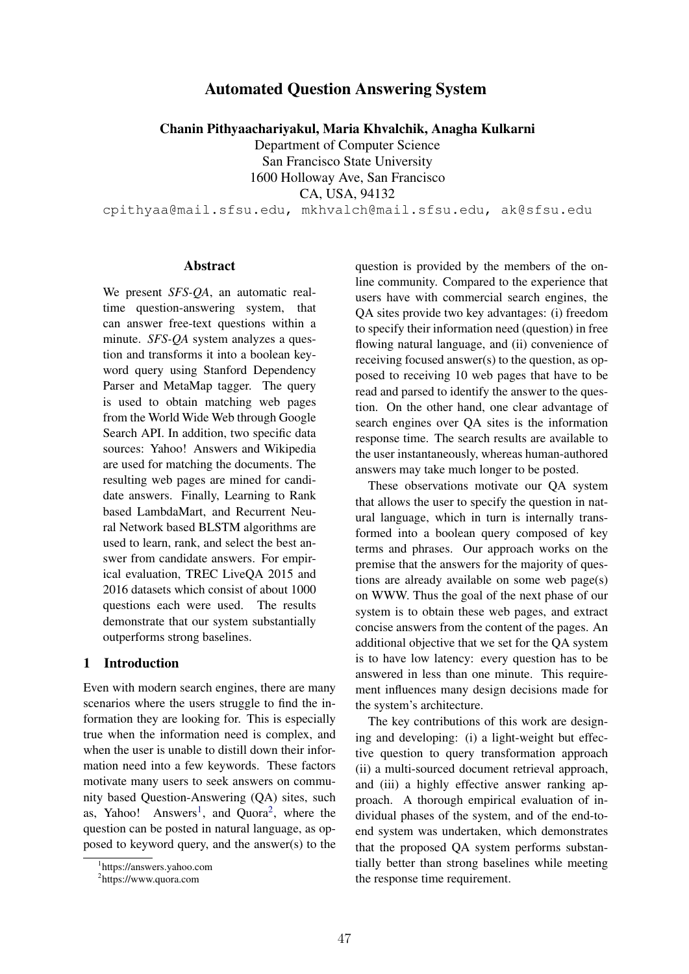# Automated Question Answering System

Chanin Pithyaachariyakul, Maria Khvalchik, Anagha Kulkarni

Department of Computer Science San Francisco State University 1600 Holloway Ave, San Francisco CA, USA, 94132

cpithyaa@mail.sfsu.edu, mkhvalch@mail.sfsu.edu, ak@sfsu.edu

#### Abstract

We present *SFS-QA*, an automatic realtime question-answering system, that can answer free-text questions within a minute. *SFS-QA* system analyzes a question and transforms it into a boolean keyword query using Stanford Dependency Parser and MetaMap tagger. The query is used to obtain matching web pages from the World Wide Web through Google Search API. In addition, two specific data sources: Yahoo! Answers and Wikipedia are used for matching the documents. The resulting web pages are mined for candidate answers. Finally, Learning to Rank based LambdaMart, and Recurrent Neural Network based BLSTM algorithms are used to learn, rank, and select the best answer from candidate answers. For empirical evaluation, TREC LiveQA 2015 and 2016 datasets which consist of about 1000 questions each were used. The results demonstrate that our system substantially outperforms strong baselines.

### 1 Introduction

Even with modern search engines, there are many scenarios where the users struggle to find the information they are looking for. This is especially true when the information need is complex, and when the user is unable to distill down their information need into a few keywords. These factors motivate many users to seek answers on community based Question-Answering (QA) sites, such as, Yahoo! Answers<sup>1</sup>, and Quora<sup>2</sup>, where the question can be posted in natural language, as opposed to keyword query, and the answer(s) to the

question is provided by the members of the online community. Compared to the experience that users have with commercial search engines, the QA sites provide two key advantages: (i) freedom to specify their information need (question) in free flowing natural language, and (ii) convenience of receiving focused answer(s) to the question, as opposed to receiving 10 web pages that have to be read and parsed to identify the answer to the question. On the other hand, one clear advantage of search engines over QA sites is the information response time. The search results are available to the user instantaneously, whereas human-authored answers may take much longer to be posted.

These observations motivate our QA system that allows the user to specify the question in natural language, which in turn is internally transformed into a boolean query composed of key terms and phrases. Our approach works on the premise that the answers for the majority of questions are already available on some web page(s) on WWW. Thus the goal of the next phase of our system is to obtain these web pages, and extract concise answers from the content of the pages. An additional objective that we set for the QA system is to have low latency: every question has to be answered in less than one minute. This requirement influences many design decisions made for the system's architecture.

The key contributions of this work are designing and developing: (i) a light-weight but effective question to query transformation approach (ii) a multi-sourced document retrieval approach, and (iii) a highly effective answer ranking approach. A thorough empirical evaluation of individual phases of the system, and of the end-toend system was undertaken, which demonstrates that the proposed QA system performs substantially better than strong baselines while meeting the response time requirement.

<sup>1</sup> https://answers.yahoo.com

<sup>2</sup> https://www.quora.com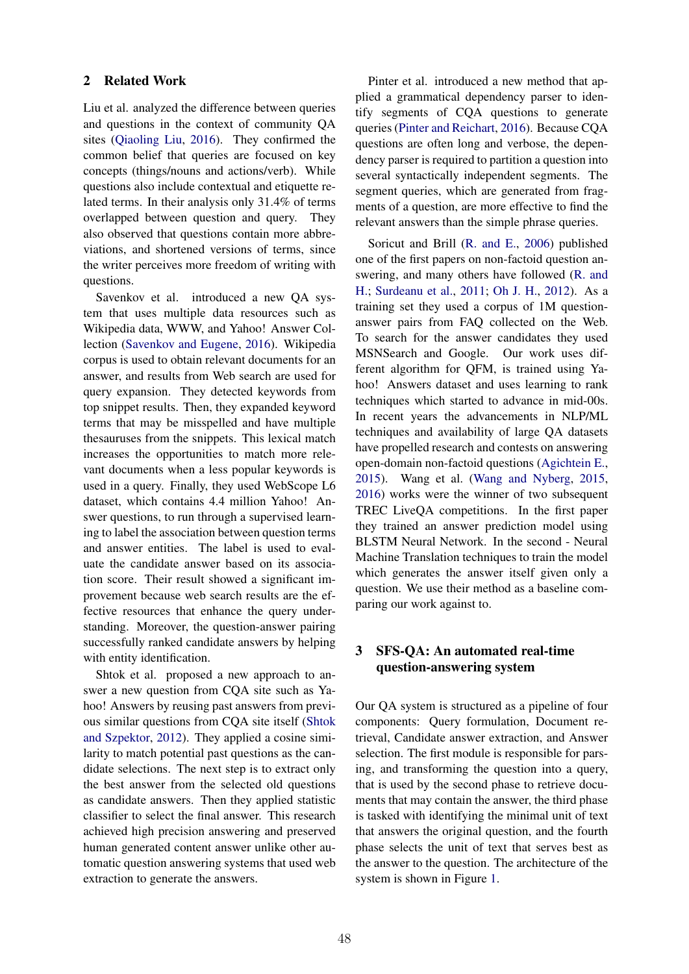#### 2 Related Work

Liu et al. analyzed the difference between queries and questions in the context of community QA sites (Qiaoling Liu, 2016). They confirmed the common belief that queries are focused on key concepts (things/nouns and actions/verb). While questions also include contextual and etiquette related terms. In their analysis only 31.4% of terms overlapped between question and query. They also observed that questions contain more abbreviations, and shortened versions of terms, since the writer perceives more freedom of writing with questions.

Savenkov et al. introduced a new QA system that uses multiple data resources such as Wikipedia data, WWW, and Yahoo! Answer Collection (Savenkov and Eugene, 2016). Wikipedia corpus is used to obtain relevant documents for an answer, and results from Web search are used for query expansion. They detected keywords from top snippet results. Then, they expanded keyword terms that may be misspelled and have multiple thesauruses from the snippets. This lexical match increases the opportunities to match more relevant documents when a less popular keywords is used in a query. Finally, they used WebScope L6 dataset, which contains 4.4 million Yahoo! Answer questions, to run through a supervised learning to label the association between question terms and answer entities. The label is used to evaluate the candidate answer based on its association score. Their result showed a significant improvement because web search results are the effective resources that enhance the query understanding. Moreover, the question-answer pairing successfully ranked candidate answers by helping with entity identification.

Shtok et al. proposed a new approach to answer a new question from CQA site such as Yahoo! Answers by reusing past answers from previous similar questions from CQA site itself (Shtok and Szpektor, 2012). They applied a cosine similarity to match potential past questions as the candidate selections. The next step is to extract only the best answer from the selected old questions as candidate answers. Then they applied statistic classifier to select the final answer. This research achieved high precision answering and preserved human generated content answer unlike other automatic question answering systems that used web extraction to generate the answers.

Pinter et al. introduced a new method that applied a grammatical dependency parser to identify segments of CQA questions to generate queries (Pinter and Reichart, 2016). Because CQA questions are often long and verbose, the dependency parser is required to partition a question into several syntactically independent segments. The segment queries, which are generated from fragments of a question, are more effective to find the relevant answers than the simple phrase queries.

Soricut and Brill (R. and E., 2006) published one of the first papers on non-factoid question answering, and many others have followed (R. and H.; Surdeanu et al., 2011; Oh J. H., 2012). As a training set they used a corpus of 1M questionanswer pairs from FAQ collected on the Web. To search for the answer candidates they used MSNSearch and Google. Our work uses different algorithm for QFM, is trained using Yahoo! Answers dataset and uses learning to rank techniques which started to advance in mid-00s. In recent years the advancements in NLP/ML techniques and availability of large QA datasets have propelled research and contests on answering open-domain non-factoid questions (Agichtein E., 2015). Wang et al. (Wang and Nyberg, 2015, 2016) works were the winner of two subsequent TREC LiveQA competitions. In the first paper they trained an answer prediction model using BLSTM Neural Network. In the second - Neural Machine Translation techniques to train the model which generates the answer itself given only a question. We use their method as a baseline comparing our work against to.

## 3 SFS-QA: An automated real-time question-answering system

Our QA system is structured as a pipeline of four components: Query formulation, Document retrieval, Candidate answer extraction, and Answer selection. The first module is responsible for parsing, and transforming the question into a query, that is used by the second phase to retrieve documents that may contain the answer, the third phase is tasked with identifying the minimal unit of text that answers the original question, and the fourth phase selects the unit of text that serves best as the answer to the question. The architecture of the system is shown in Figure 1.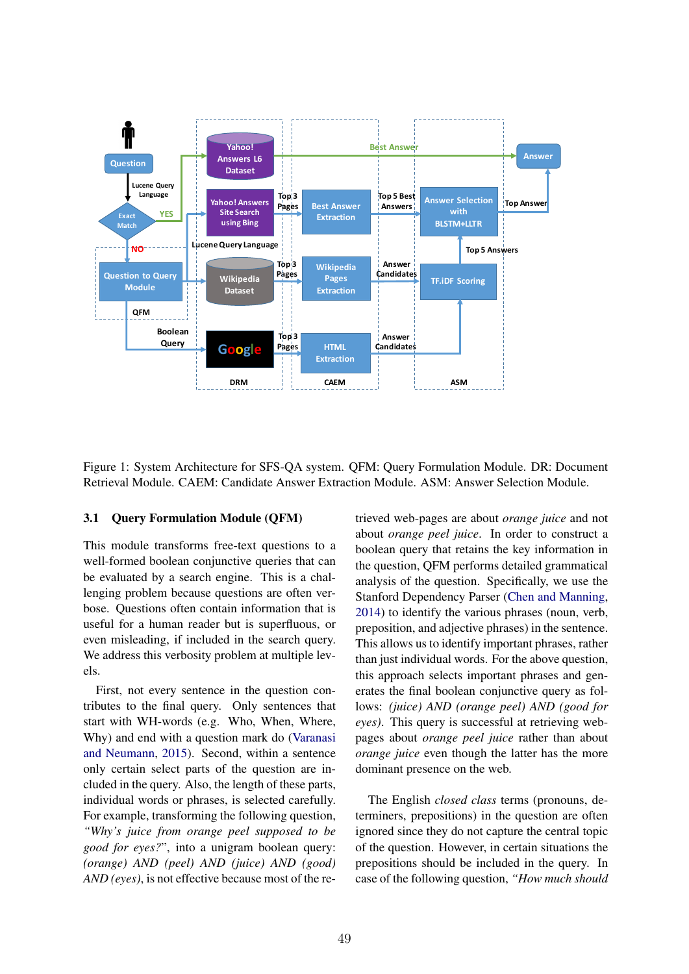

Figure 1: System Architecture for SFS-QA system. QFM: Query Formulation Module. DR: Document Retrieval Module. CAEM: Candidate Answer Extraction Module. ASM: Answer Selection Module.

#### 3.1 Query Formulation Module (QFM)

This module transforms free-text questions to a well-formed boolean conjunctive queries that can be evaluated by a search engine. This is a challenging problem because questions are often verbose. Questions often contain information that is useful for a human reader but is superfluous, or even misleading, if included in the search query. We address this verbosity problem at multiple levels.

First, not every sentence in the question contributes to the final query. Only sentences that start with WH-words (e.g. Who, When, Where, Why) and end with a question mark do (Varanasi and Neumann, 2015). Second, within a sentence only certain select parts of the question are included in the query. Also, the length of these parts, individual words or phrases, is selected carefully. For example, transforming the following question, *"Why's juice from orange peel supposed to be good for eyes?*", into a unigram boolean query: *(orange) AND (peel) AND (juice) AND (good) AND (eyes)*, is not effective because most of the retrieved web-pages are about *orange juice* and not about *orange peel juice*. In order to construct a boolean query that retains the key information in the question, QFM performs detailed grammatical analysis of the question. Specifically, we use the Stanford Dependency Parser (Chen and Manning, 2014) to identify the various phrases (noun, verb, preposition, and adjective phrases) in the sentence. This allows us to identify important phrases, rather than just individual words. For the above question, this approach selects important phrases and generates the final boolean conjunctive query as follows: *(juice) AND (orange peel) AND (good for eyes)*. This query is successful at retrieving webpages about *orange peel juice* rather than about *orange juice* even though the latter has the more dominant presence on the web.

The English *closed class* terms (pronouns, determiners, prepositions) in the question are often ignored since they do not capture the central topic of the question. However, in certain situations the prepositions should be included in the query. In case of the following question, *"How much should*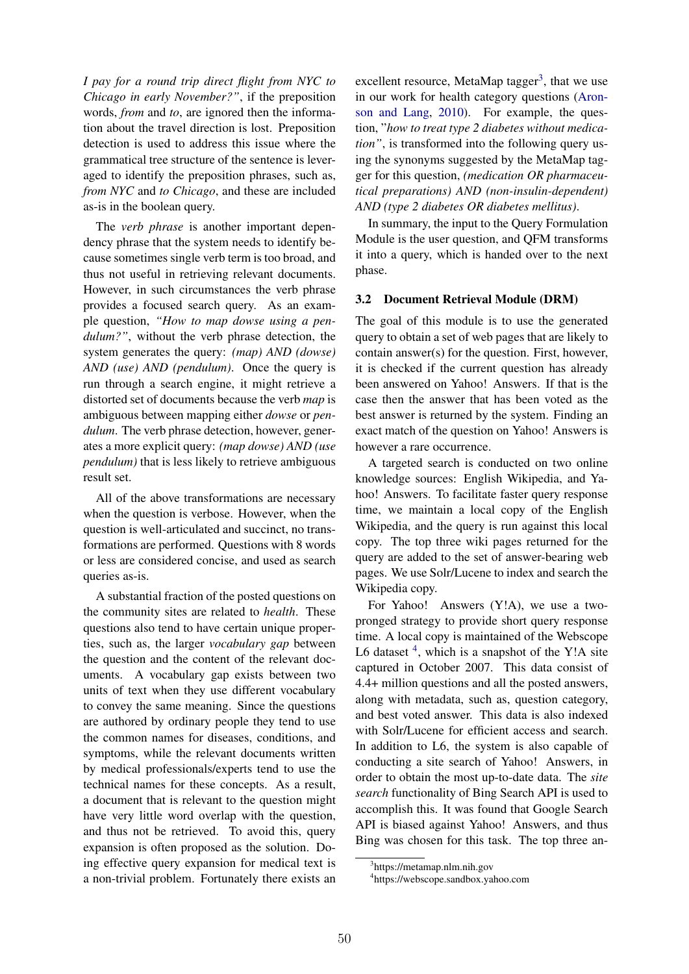*I pay for a round trip direct flight from NYC to Chicago in early November?"*, if the preposition words, *from* and *to*, are ignored then the information about the travel direction is lost. Preposition detection is used to address this issue where the grammatical tree structure of the sentence is leveraged to identify the preposition phrases, such as, *from NYC* and *to Chicago*, and these are included as-is in the boolean query.

The *verb phrase* is another important dependency phrase that the system needs to identify because sometimes single verb term is too broad, and thus not useful in retrieving relevant documents. However, in such circumstances the verb phrase provides a focused search query. As an example question, *"How to map dowse using a pendulum?"*, without the verb phrase detection, the system generates the query: *(map) AND (dowse) AND (use) AND (pendulum)*. Once the query is run through a search engine, it might retrieve a distorted set of documents because the verb *map* is ambiguous between mapping either *dowse* or *pendulum*. The verb phrase detection, however, generates a more explicit query: *(map dowse) AND (use pendulum)* that is less likely to retrieve ambiguous result set.

All of the above transformations are necessary when the question is verbose. However, when the question is well-articulated and succinct, no transformations are performed. Questions with 8 words or less are considered concise, and used as search queries as-is.

A substantial fraction of the posted questions on the community sites are related to *health*. These questions also tend to have certain unique properties, such as, the larger *vocabulary gap* between the question and the content of the relevant documents. A vocabulary gap exists between two units of text when they use different vocabulary to convey the same meaning. Since the questions are authored by ordinary people they tend to use the common names for diseases, conditions, and symptoms, while the relevant documents written by medical professionals/experts tend to use the technical names for these concepts. As a result, a document that is relevant to the question might have very little word overlap with the question, and thus not be retrieved. To avoid this, query expansion is often proposed as the solution. Doing effective query expansion for medical text is a non-trivial problem. Fortunately there exists an

excellent resource, MetaMap tagger<sup>3</sup>, that we use in our work for health category questions (Aronson and Lang, 2010). For example, the question, "*how to treat type 2 diabetes without medication"*, is transformed into the following query using the synonyms suggested by the MetaMap tagger for this question, *(medication OR pharmaceutical preparations) AND (non-insulin-dependent) AND (type 2 diabetes OR diabetes mellitus)*.

In summary, the input to the Query Formulation Module is the user question, and QFM transforms it into a query, which is handed over to the next phase.

#### 3.2 Document Retrieval Module (DRM)

The goal of this module is to use the generated query to obtain a set of web pages that are likely to contain answer(s) for the question. First, however, it is checked if the current question has already been answered on Yahoo! Answers. If that is the case then the answer that has been voted as the best answer is returned by the system. Finding an exact match of the question on Yahoo! Answers is however a rare occurrence.

A targeted search is conducted on two online knowledge sources: English Wikipedia, and Yahoo! Answers. To facilitate faster query response time, we maintain a local copy of the English Wikipedia, and the query is run against this local copy. The top three wiki pages returned for the query are added to the set of answer-bearing web pages. We use Solr/Lucene to index and search the Wikipedia copy.

For Yahoo! Answers (Y!A), we use a twopronged strategy to provide short query response time. A local copy is maintained of the Webscope L6 dataset  $4$ , which is a snapshot of the Y!A site captured in October 2007. This data consist of 4.4+ million questions and all the posted answers, along with metadata, such as, question category, and best voted answer. This data is also indexed with Solr/Lucene for efficient access and search. In addition to L6, the system is also capable of conducting a site search of Yahoo! Answers, in order to obtain the most up-to-date data. The *site search* functionality of Bing Search API is used to accomplish this. It was found that Google Search API is biased against Yahoo! Answers, and thus Bing was chosen for this task. The top three an-

<sup>3</sup> https://metamap.nlm.nih.gov

<sup>4</sup> https://webscope.sandbox.yahoo.com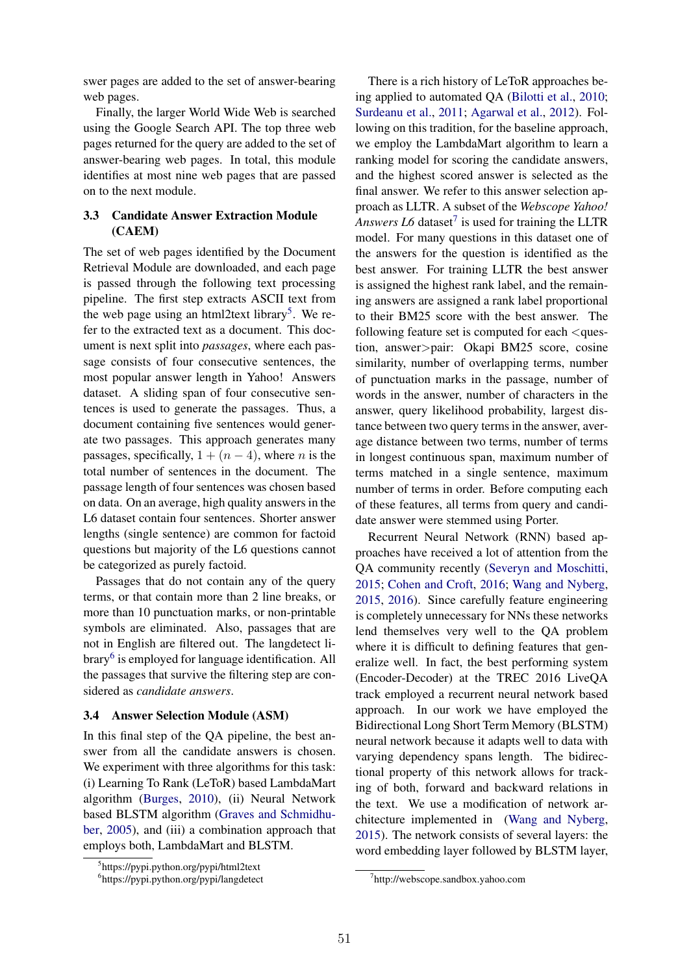swer pages are added to the set of answer-bearing web pages.

Finally, the larger World Wide Web is searched using the Google Search API. The top three web pages returned for the query are added to the set of answer-bearing web pages. In total, this module identifies at most nine web pages that are passed on to the next module.

## 3.3 Candidate Answer Extraction Module (CAEM)

The set of web pages identified by the Document Retrieval Module are downloaded, and each page is passed through the following text processing pipeline. The first step extracts ASCII text from the web page using an html2text library<sup>5</sup>. We refer to the extracted text as a document. This document is next split into *passages*, where each passage consists of four consecutive sentences, the most popular answer length in Yahoo! Answers dataset. A sliding span of four consecutive sentences is used to generate the passages. Thus, a document containing five sentences would generate two passages. This approach generates many passages, specifically,  $1 + (n - 4)$ , where *n* is the total number of sentences in the document. The passage length of four sentences was chosen based on data. On an average, high quality answers in the L6 dataset contain four sentences. Shorter answer lengths (single sentence) are common for factoid questions but majority of the L6 questions cannot be categorized as purely factoid.

Passages that do not contain any of the query terms, or that contain more than 2 line breaks, or more than 10 punctuation marks, or non-printable symbols are eliminated. Also, passages that are not in English are filtered out. The langdetect library<sup>6</sup> is employed for language identification. All the passages that survive the filtering step are considered as *candidate answers*.

#### 3.4 Answer Selection Module (ASM)

In this final step of the QA pipeline, the best answer from all the candidate answers is chosen. We experiment with three algorithms for this task: (i) Learning To Rank (LeToR) based LambdaMart algorithm (Burges, 2010), (ii) Neural Network based BLSTM algorithm (Graves and Schmidhuber, 2005), and (iii) a combination approach that employs both, LambdaMart and BLSTM.

There is a rich history of LeToR approaches being applied to automated QA (Bilotti et al., 2010; Surdeanu et al., 2011; Agarwal et al., 2012). Following on this tradition, for the baseline approach, we employ the LambdaMart algorithm to learn a ranking model for scoring the candidate answers, and the highest scored answer is selected as the final answer. We refer to this answer selection approach as LLTR. A subset of the *Webscope Yahoo! Answers L6* dataset<sup>7</sup> is used for training the LLTR model. For many questions in this dataset one of the answers for the question is identified as the best answer. For training LLTR the best answer is assigned the highest rank label, and the remaining answers are assigned a rank label proportional to their BM25 score with the best answer. The following feature set is computed for each *<*question, answer*>*pair: Okapi BM25 score, cosine similarity, number of overlapping terms, number of punctuation marks in the passage, number of words in the answer, number of characters in the answer, query likelihood probability, largest distance between two query terms in the answer, average distance between two terms, number of terms in longest continuous span, maximum number of terms matched in a single sentence, maximum number of terms in order. Before computing each of these features, all terms from query and candidate answer were stemmed using Porter.

Recurrent Neural Network (RNN) based approaches have received a lot of attention from the QA community recently (Severyn and Moschitti, 2015; Cohen and Croft, 2016; Wang and Nyberg, 2015, 2016). Since carefully feature engineering is completely unnecessary for NNs these networks lend themselves very well to the QA problem where it is difficult to defining features that generalize well. In fact, the best performing system (Encoder-Decoder) at the TREC 2016 LiveQA track employed a recurrent neural network based approach. In our work we have employed the Bidirectional Long Short Term Memory (BLSTM) neural network because it adapts well to data with varying dependency spans length. The bidirectional property of this network allows for tracking of both, forward and backward relations in the text. We use a modification of network architecture implemented in (Wang and Nyberg, 2015). The network consists of several layers: the word embedding layer followed by BLSTM layer,

<sup>5</sup> https://pypi.python.org/pypi/html2text

<sup>6</sup> https://pypi.python.org/pypi/langdetect

<sup>7</sup> http://webscope.sandbox.yahoo.com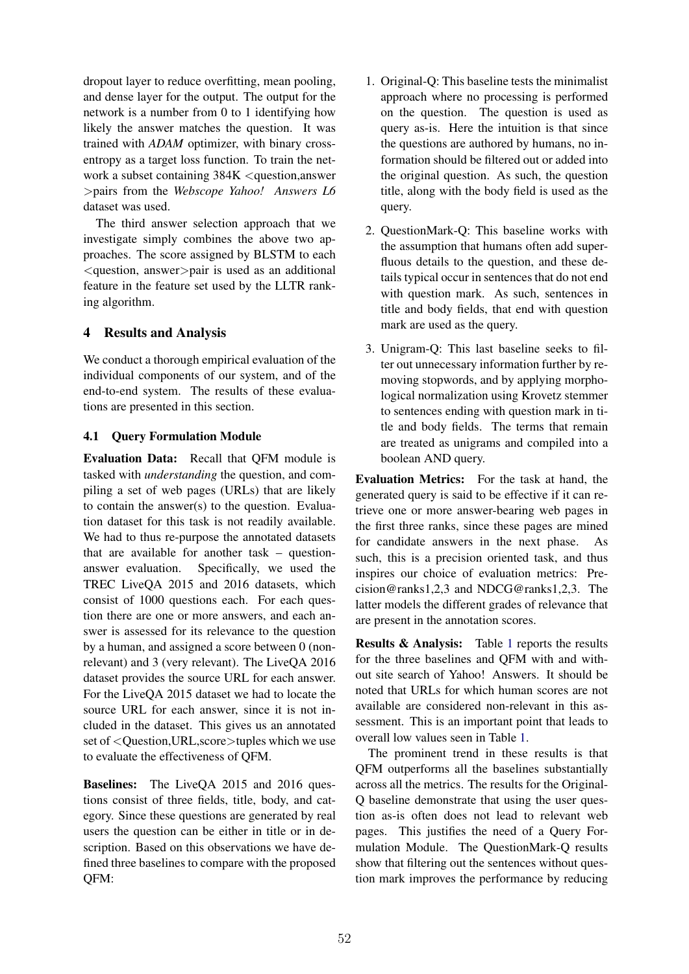dropout layer to reduce overfitting, mean pooling, and dense layer for the output. The output for the network is a number from 0 to 1 identifying how likely the answer matches the question. It was trained with *ADAM* optimizer, with binary crossentropy as a target loss function. To train the network a subset containing 384K *<*question,answer *>*pairs from the *Webscope Yahoo! Answers L6* dataset was used.

The third answer selection approach that we investigate simply combines the above two approaches. The score assigned by BLSTM to each *<*question, answer*>*pair is used as an additional feature in the feature set used by the LLTR ranking algorithm.

## 4 Results and Analysis

We conduct a thorough empirical evaluation of the individual components of our system, and of the end-to-end system. The results of these evaluations are presented in this section.

## 4.1 Query Formulation Module

Evaluation Data: Recall that QFM module is tasked with *understanding* the question, and compiling a set of web pages (URLs) that are likely to contain the answer(s) to the question. Evaluation dataset for this task is not readily available. We had to thus re-purpose the annotated datasets that are available for another task – questionanswer evaluation. Specifically, we used the TREC LiveQA 2015 and 2016 datasets, which consist of 1000 questions each. For each question there are one or more answers, and each answer is assessed for its relevance to the question by a human, and assigned a score between 0 (nonrelevant) and 3 (very relevant). The LiveQA 2016 dataset provides the source URL for each answer. For the LiveQA 2015 dataset we had to locate the source URL for each answer, since it is not included in the dataset. This gives us an annotated set of *<*Question,URL,score*>*tuples which we use to evaluate the effectiveness of QFM.

Baselines: The LiveQA 2015 and 2016 questions consist of three fields, title, body, and category. Since these questions are generated by real users the question can be either in title or in description. Based on this observations we have defined three baselines to compare with the proposed QFM:

- 1. Original-Q: This baseline tests the minimalist approach where no processing is performed on the question. The question is used as query as-is. Here the intuition is that since the questions are authored by humans, no information should be filtered out or added into the original question. As such, the question title, along with the body field is used as the query.
- 2. QuestionMark-Q: This baseline works with the assumption that humans often add superfluous details to the question, and these details typical occur in sentences that do not end with question mark. As such, sentences in title and body fields, that end with question mark are used as the query.
- 3. Unigram-Q: This last baseline seeks to filter out unnecessary information further by removing stopwords, and by applying morphological normalization using Krovetz stemmer to sentences ending with question mark in title and body fields. The terms that remain are treated as unigrams and compiled into a boolean AND query.

Evaluation Metrics: For the task at hand, the generated query is said to be effective if it can retrieve one or more answer-bearing web pages in the first three ranks, since these pages are mined for candidate answers in the next phase. As such, this is a precision oriented task, and thus inspires our choice of evaluation metrics: Precision@ranks1,2,3 and NDCG@ranks1,2,3. The latter models the different grades of relevance that are present in the annotation scores.

Results & Analysis: Table 1 reports the results for the three baselines and QFM with and without site search of Yahoo! Answers. It should be noted that URLs for which human scores are not available are considered non-relevant in this assessment. This is an important point that leads to overall low values seen in Table 1.

The prominent trend in these results is that QFM outperforms all the baselines substantially across all the metrics. The results for the Original-Q baseline demonstrate that using the user question as-is often does not lead to relevant web pages. This justifies the need of a Query Formulation Module. The QuestionMark-Q results show that filtering out the sentences without question mark improves the performance by reducing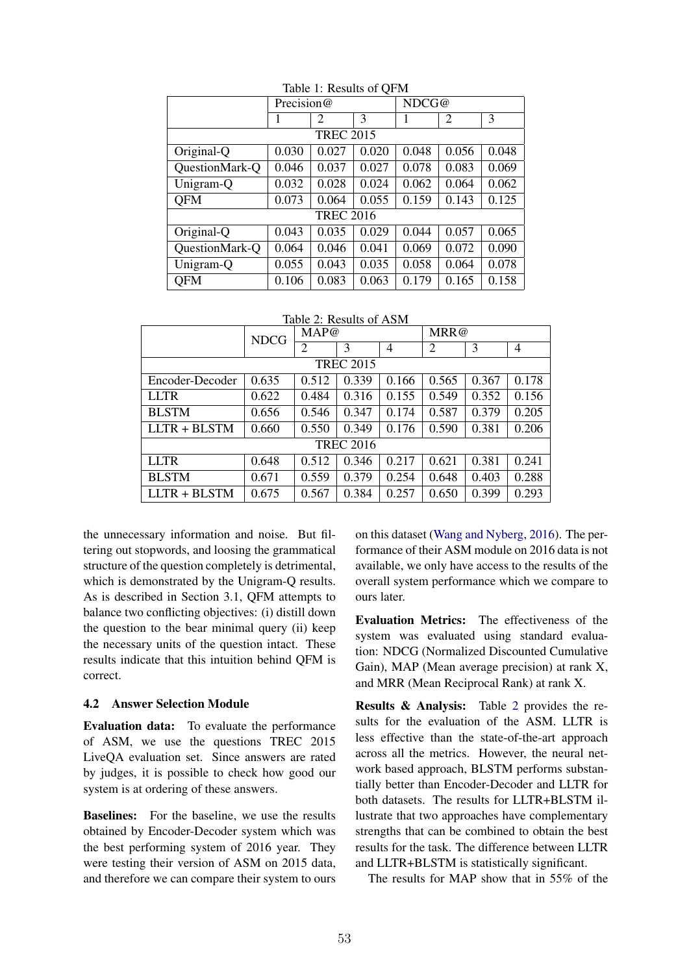|                  | ∼<br>Precision@ |                |       | NDCG@ |                |       |  |
|------------------|-----------------|----------------|-------|-------|----------------|-------|--|
|                  | 1               | $\overline{c}$ | 3     | 1     | $\overline{2}$ | 3     |  |
| <b>TREC 2015</b> |                 |                |       |       |                |       |  |
| Original-Q       | 0.030           | 0.027          | 0.020 | 0.048 | 0.056          | 0.048 |  |
| QuestionMark-Q   | 0.046           | 0.037          | 0.027 | 0.078 | 0.083          | 0.069 |  |
| Unigram-Q        | 0.032           | 0.028          | 0.024 | 0.062 | 0.064          | 0.062 |  |
| <b>QFM</b>       | 0.073           | 0.064          | 0.055 | 0.159 | 0.143          | 0.125 |  |
| <b>TREC 2016</b> |                 |                |       |       |                |       |  |
| Original-Q       | 0.043           | 0.035          | 0.029 | 0.044 | 0.057          | 0.065 |  |
| QuestionMark-Q   | 0.064           | 0.046          | 0.041 | 0.069 | 0.072          | 0.090 |  |
| Unigram-Q        | 0.055           | 0.043          | 0.035 | 0.058 | 0.064          | 0.078 |  |
| <b>QFM</b>       | 0.106           | 0.083          | 0.063 | 0.179 | 0.165          | 0.158 |  |

Table 1: Results of QFM

Table 2: Results of ASM

|                  | <b>NDCG</b> | MAP@  |       |       | MRR@  |       |                |
|------------------|-------------|-------|-------|-------|-------|-------|----------------|
|                  |             | 2     | 3     | 4     | 2     | 3     | $\overline{4}$ |
| <b>TREC 2015</b> |             |       |       |       |       |       |                |
| Encoder-Decoder  | 0.635       | 0.512 | 0.339 | 0.166 | 0.565 | 0.367 | 0.178          |
| <b>LLTR</b>      | 0.622       | 0.484 | 0.316 | 0.155 | 0.549 | 0.352 | 0.156          |
| <b>BLSTM</b>     | 0.656       | 0.546 | 0.347 | 0.174 | 0.587 | 0.379 | 0.205          |
| LLTR + BLSTM     | 0.660       | 0.550 | 0.349 | 0.176 | 0.590 | 0.381 | 0.206          |
| <b>TREC 2016</b> |             |       |       |       |       |       |                |
| <b>LLTR</b>      | 0.648       | 0.512 | 0.346 | 0.217 | 0.621 | 0.381 | 0.241          |
| <b>BLSTM</b>     | 0.671       | 0.559 | 0.379 | 0.254 | 0.648 | 0.403 | 0.288          |
| $LLTR + BLSTM$   | 0.675       | 0.567 | 0.384 | 0.257 | 0.650 | 0.399 | 0.293          |

the unnecessary information and noise. But filtering out stopwords, and loosing the grammatical structure of the question completely is detrimental, which is demonstrated by the Unigram-Q results. As is described in Section 3.1, QFM attempts to balance two conflicting objectives: (i) distill down the question to the bear minimal query (ii) keep the necessary units of the question intact. These results indicate that this intuition behind QFM is correct.

#### 4.2 Answer Selection Module

Evaluation data: To evaluate the performance of ASM, we use the questions TREC 2015 LiveQA evaluation set. Since answers are rated by judges, it is possible to check how good our system is at ordering of these answers.

Baselines: For the baseline, we use the results obtained by Encoder-Decoder system which was the best performing system of 2016 year. They were testing their version of ASM on 2015 data, and therefore we can compare their system to ours on this dataset (Wang and Nyberg, 2016). The performance of their ASM module on 2016 data is not available, we only have access to the results of the overall system performance which we compare to ours later.

Evaluation Metrics: The effectiveness of the system was evaluated using standard evaluation: NDCG (Normalized Discounted Cumulative Gain), MAP (Mean average precision) at rank X, and MRR (Mean Reciprocal Rank) at rank X.

Results & Analysis: Table 2 provides the results for the evaluation of the ASM. LLTR is less effective than the state-of-the-art approach across all the metrics. However, the neural network based approach, BLSTM performs substantially better than Encoder-Decoder and LLTR for both datasets. The results for LLTR+BLSTM illustrate that two approaches have complementary strengths that can be combined to obtain the best results for the task. The difference between LLTR and LLTR+BLSTM is statistically significant.

The results for MAP show that in 55% of the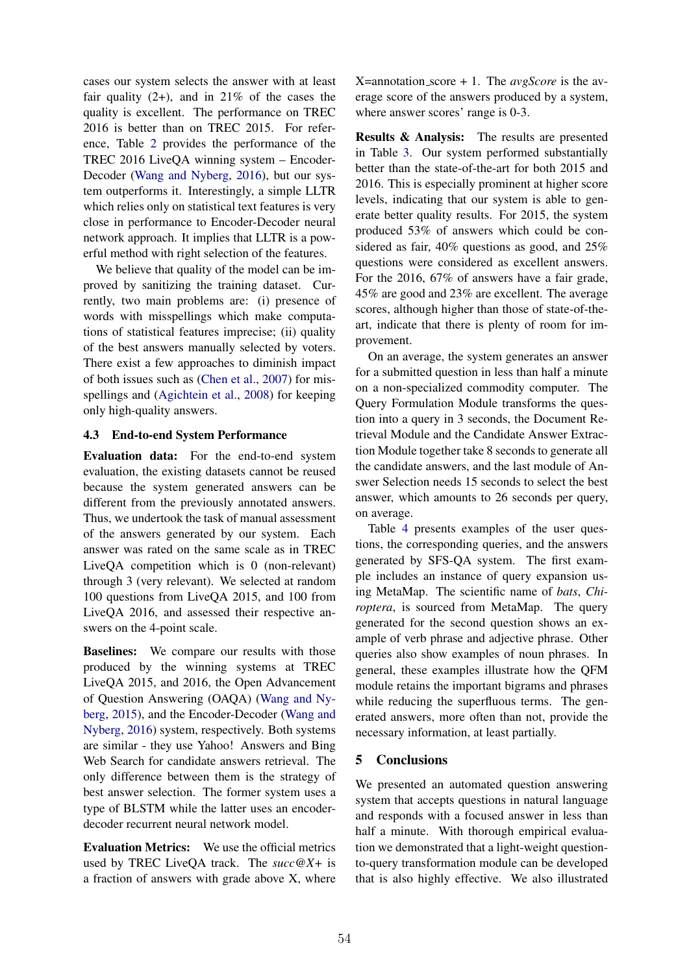cases our system selects the answer with at least fair quality  $(2+)$ , and in  $21\%$  of the cases the quality is excellent. The performance on TREC 2016 is better than on TREC 2015. For reference, Table 2 provides the performance of the TREC 2016 LiveQA winning system – Encoder-Decoder (Wang and Nyberg, 2016), but our system outperforms it. Interestingly, a simple LLTR which relies only on statistical text features is very close in performance to Encoder-Decoder neural network approach. It implies that LLTR is a powerful method with right selection of the features.

We believe that quality of the model can be improved by sanitizing the training dataset. Currently, two main problems are: (i) presence of words with misspellings which make computations of statistical features imprecise; (ii) quality of the best answers manually selected by voters. There exist a few approaches to diminish impact of both issues such as (Chen et al., 2007) for misspellings and (Agichtein et al., 2008) for keeping only high-quality answers.

### 4.3 End-to-end System Performance

Evaluation data: For the end-to-end system evaluation, the existing datasets cannot be reused because the system generated answers can be different from the previously annotated answers. Thus, we undertook the task of manual assessment of the answers generated by our system. Each answer was rated on the same scale as in TREC LiveQA competition which is 0 (non-relevant) through 3 (very relevant). We selected at random 100 questions from LiveQA 2015, and 100 from LiveQA 2016, and assessed their respective answers on the 4-point scale.

Baselines: We compare our results with those produced by the winning systems at TREC LiveQA 2015, and 2016, the Open Advancement of Question Answering (OAQA) (Wang and Nyberg, 2015), and the Encoder-Decoder (Wang and Nyberg, 2016) system, respectively. Both systems are similar - they use Yahoo! Answers and Bing Web Search for candidate answers retrieval. The only difference between them is the strategy of best answer selection. The former system uses a type of BLSTM while the latter uses an encoderdecoder recurrent neural network model.

Evaluation Metrics: We use the official metrics used by TREC LiveQA track. The *succ@X+* is a fraction of answers with grade above X, where X=annotation score + 1. The *avgScore* is the average score of the answers produced by a system, where answer scores' range is 0-3.

Results & Analysis: The results are presented in Table 3. Our system performed substantially better than the state-of-the-art for both 2015 and 2016. This is especially prominent at higher score levels, indicating that our system is able to generate better quality results. For 2015, the system produced 53% of answers which could be considered as fair, 40% questions as good, and 25% questions were considered as excellent answers. For the 2016, 67% of answers have a fair grade, 45% are good and 23% are excellent. The average scores, although higher than those of state-of-theart, indicate that there is plenty of room for improvement.

On an average, the system generates an answer for a submitted question in less than half a minute on a non-specialized commodity computer. The Query Formulation Module transforms the question into a query in 3 seconds, the Document Retrieval Module and the Candidate Answer Extraction Module together take 8 seconds to generate all the candidate answers, and the last module of Answer Selection needs 15 seconds to select the best answer, which amounts to 26 seconds per query, on average.

Table 4 presents examples of the user questions, the corresponding queries, and the answers generated by SFS-QA system. The first example includes an instance of query expansion using MetaMap. The scientific name of *bats*, *Chiroptera*, is sourced from MetaMap. The query generated for the second question shows an example of verb phrase and adjective phrase. Other queries also show examples of noun phrases. In general, these examples illustrate how the QFM module retains the important bigrams and phrases while reducing the superfluous terms. The generated answers, more often than not, provide the necessary information, at least partially.

## 5 Conclusions

We presented an automated question answering system that accepts questions in natural language and responds with a focused answer in less than half a minute. With thorough empirical evaluation we demonstrated that a light-weight questionto-query transformation module can be developed that is also highly effective. We also illustrated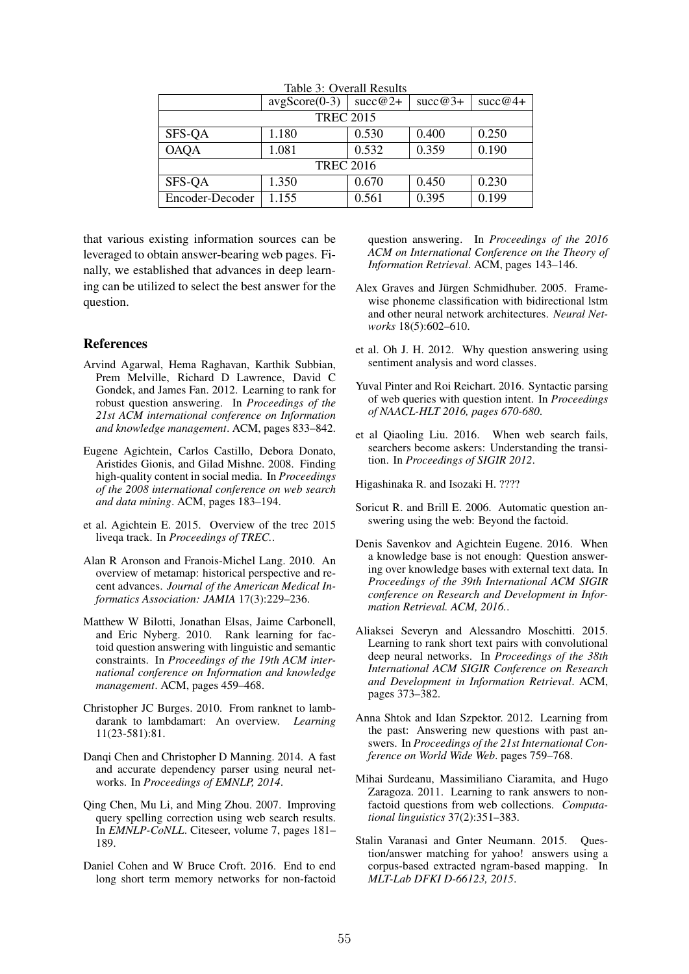|                  | $\arg\text{Score}(0-3)$ | $\sec 2+$ | $succ@3+$ | $succ@4+$ |  |  |  |
|------------------|-------------------------|-----------|-----------|-----------|--|--|--|
| <b>TREC 2015</b> |                         |           |           |           |  |  |  |
| SFS-QA           | 1.180                   | 0.530     | 0.400     | 0.250     |  |  |  |
| <b>OAQA</b>      | 1.081                   | 0.532     | 0.359     | 0.190     |  |  |  |
| <b>TREC 2016</b> |                         |           |           |           |  |  |  |
| SFS-QA           | 1.350                   | 0.670     | 0.450     | 0.230     |  |  |  |
| Encoder-Decoder  | 1.155                   | 0.561     | 0.395     | 0.199     |  |  |  |

Table 3: Overall Results

that various existing information sources can be leveraged to obtain answer-bearing web pages. Finally, we established that advances in deep learning can be utilized to select the best answer for the question.

### References

- Arvind Agarwal, Hema Raghavan, Karthik Subbian, Prem Melville, Richard D Lawrence, David C Gondek, and James Fan. 2012. Learning to rank for robust question answering. In *Proceedings of the 21st ACM international conference on Information and knowledge management*. ACM, pages 833–842.
- Eugene Agichtein, Carlos Castillo, Debora Donato, Aristides Gionis, and Gilad Mishne. 2008. Finding high-quality content in social media. In *Proceedings of the 2008 international conference on web search and data mining*. ACM, pages 183–194.
- et al. Agichtein E. 2015. Overview of the trec 2015 liveqa track. In *Proceedings of TREC.*.
- Alan R Aronson and Franois-Michel Lang. 2010. An overview of metamap: historical perspective and recent advances. *Journal of the American Medical Informatics Association: JAMIA* 17(3):229–236.
- Matthew W Bilotti, Jonathan Elsas, Jaime Carbonell, and Eric Nyberg. 2010. Rank learning for factoid question answering with linguistic and semantic constraints. In *Proceedings of the 19th ACM international conference on Information and knowledge management*. ACM, pages 459–468.
- Christopher JC Burges. 2010. From ranknet to lambdarank to lambdamart: An overview. *Learning* 11(23-581):81.
- Danqi Chen and Christopher D Manning. 2014. A fast and accurate dependency parser using neural networks. In *Proceedings of EMNLP, 2014*.
- Qing Chen, Mu Li, and Ming Zhou. 2007. Improving query spelling correction using web search results. In *EMNLP-CoNLL*. Citeseer, volume 7, pages 181– 189.
- Daniel Cohen and W Bruce Croft. 2016. End to end long short term memory networks for non-factoid

question answering. In *Proceedings of the 2016 ACM on International Conference on the Theory of Information Retrieval*. ACM, pages 143–146.

- Alex Graves and Jürgen Schmidhuber. 2005. Framewise phoneme classification with bidirectional lstm and other neural network architectures. *Neural Networks* 18(5):602–610.
- et al. Oh J. H. 2012. Why question answering using sentiment analysis and word classes.
- Yuval Pinter and Roi Reichart. 2016. Syntactic parsing of web queries with question intent. In *Proceedings of NAACL-HLT 2016, pages 670-680*.
- et al Qiaoling Liu. 2016. When web search fails, searchers become askers: Understanding the transition. In *Proceedings of SIGIR 2012*.

Higashinaka R. and Isozaki H. ????

- Soricut R. and Brill E. 2006. Automatic question answering using the web: Beyond the factoid.
- Denis Savenkov and Agichtein Eugene. 2016. When a knowledge base is not enough: Question answering over knowledge bases with external text data. In *Proceedings of the 39th International ACM SIGIR conference on Research and Development in Information Retrieval. ACM, 2016.*.
- Aliaksei Severyn and Alessandro Moschitti. 2015. Learning to rank short text pairs with convolutional deep neural networks. In *Proceedings of the 38th International ACM SIGIR Conference on Research and Development in Information Retrieval*. ACM, pages 373–382.
- Anna Shtok and Idan Szpektor. 2012. Learning from the past: Answering new questions with past answers. In *Proceedings of the 21st International Conference on World Wide Web*. pages 759–768.
- Mihai Surdeanu, Massimiliano Ciaramita, and Hugo Zaragoza. 2011. Learning to rank answers to nonfactoid questions from web collections. *Computational linguistics* 37(2):351–383.
- Stalin Varanasi and Gnter Neumann. 2015. Question/answer matching for yahoo! answers using a corpus-based extracted ngram-based mapping. In *MLT-Lab DFKI D-66123, 2015*.